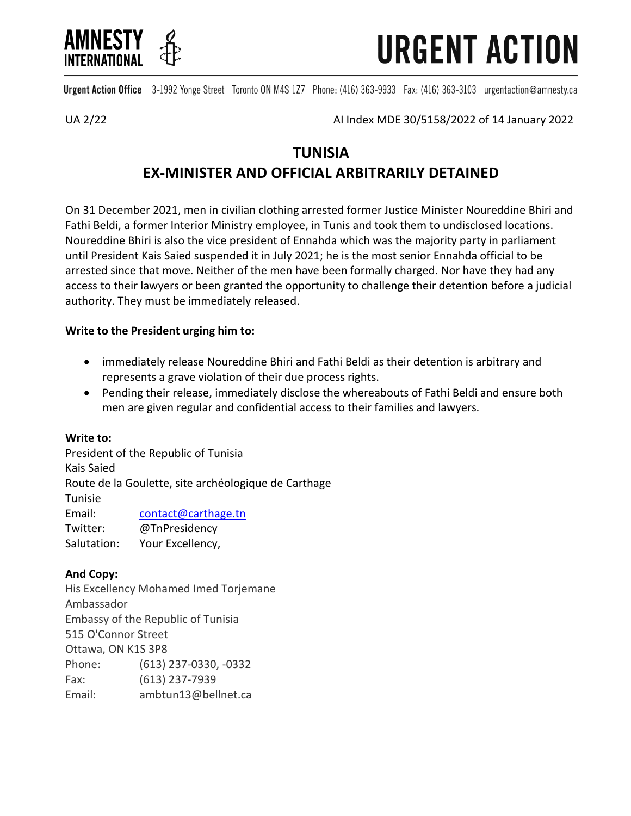

**URGENT ACTION** 

Urgent Action Office 3-1992 Yonge Street Toronto ON M4S 1Z7 Phone: (416) 363-9933 Fax: (416) 363-3103 urgentaction@amnesty.ca

UA 2/22 AI Index MDE 30/5158/2022 of 14 January 2022

# **TUNISIA EX-MINISTER AND OFFICIAL ARBITRARILY DETAINED**

On 31 December 2021, men in civilian clothing arrested former Justice Minister Noureddine Bhiri and Fathi Beldi, a former Interior Ministry employee, in Tunis and took them to undisclosed locations. Noureddine Bhiri is also the vice president of Ennahda which was the majority party in parliament until President Kais Saied suspended it in July 2021; he is the most senior Ennahda official to be arrested since that move. Neither of the men have been formally charged. Nor have they had any access to their lawyers or been granted the opportunity to challenge their detention before a judicial authority. They must be immediately released.

## **Write to the President urging him to:**

- immediately release Noureddine Bhiri and Fathi Beldi as their detention is arbitrary and represents a grave violation of their due process rights.
- Pending their release, immediately disclose the whereabouts of Fathi Beldi and ensure both men are given regular and confidential access to their families and lawyers.

### **Write to:**

President of the Republic of Tunisia Kais Saied Route de la Goulette, site archéologique de Carthage Tunisie Email: [contact@carthage.tn](mailto:contact@carthage.tn) Twitter: @TnPresidency Salutation: Your Excellency,

## **And Copy:**

His Excellency Mohamed Imed Torjemane Ambassador Embassy of the Republic of Tunisia 515 O'Connor Street Ottawa, ON K1S 3P8 Phone: (613) 237-0330, -0332 Fax: (613) 237-7939 Email: ambtun13@bellnet.ca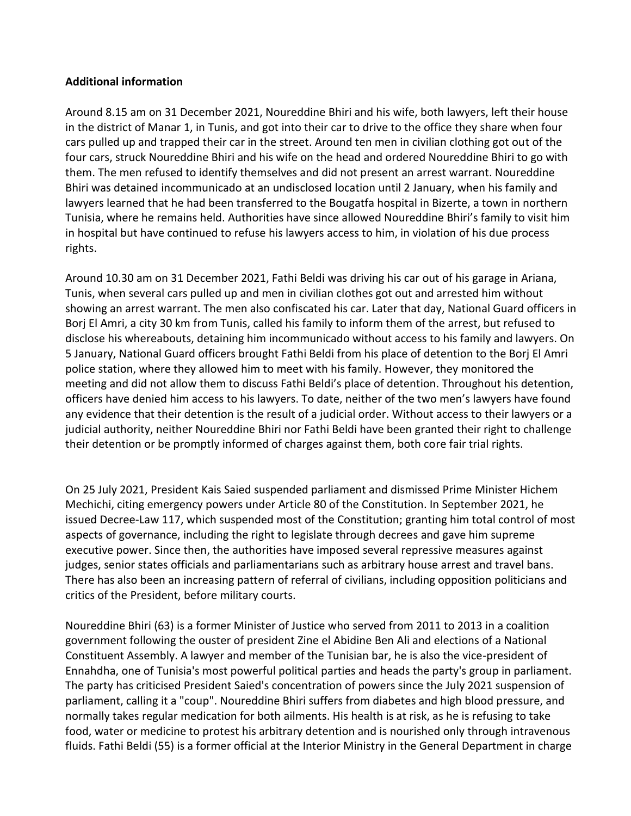### **Additional information**

Around 8.15 am on 31 December 2021, Noureddine Bhiri and his wife, both lawyers, left their house in the district of Manar 1, in Tunis, and got into their car to drive to the office they share when four cars pulled up and trapped their car in the street. Around ten men in civilian clothing got out of the four cars, struck Noureddine Bhiri and his wife on the head and ordered Noureddine Bhiri to go with them. The men refused to identify themselves and did not present an arrest warrant. Noureddine Bhiri was detained incommunicado at an undisclosed location until 2 January, when his family and lawyers learned that he had been transferred to the Bougatfa hospital in Bizerte, a town in northern Tunisia, where he remains held. Authorities have since allowed Noureddine Bhiri's family to visit him in hospital but have continued to refuse his lawyers access to him, in violation of his due process rights.

Around 10.30 am on 31 December 2021, Fathi Beldi was driving his car out of his garage in Ariana, Tunis, when several cars pulled up and men in civilian clothes got out and arrested him without showing an arrest warrant. The men also confiscated his car. Later that day, National Guard officers in Borj El Amri, a city 30 km from Tunis, called his family to inform them of the arrest, but refused to disclose his whereabouts, detaining him incommunicado without access to his family and lawyers. On 5 January, National Guard officers brought Fathi Beldi from his place of detention to the Borj El Amri police station, where they allowed him to meet with his family. However, they monitored the meeting and did not allow them to discuss Fathi Beldi's place of detention. Throughout his detention, officers have denied him access to his lawyers. To date, neither of the two men's lawyers have found any evidence that their detention is the result of a judicial order. Without access to their lawyers or a judicial authority, neither Noureddine Bhiri nor Fathi Beldi have been granted their right to challenge their detention or be promptly informed of charges against them, both core fair trial rights.

On 25 July 2021, President Kais Saied suspended parliament and dismissed Prime Minister Hichem Mechichi, citing emergency powers under Article 80 of the Constitution. In September 2021, he issued Decree-Law 117, which suspended most of the Constitution; granting him total control of most aspects of governance, including the right to legislate through decrees and gave him supreme executive power. Since then, the authorities have imposed several repressive measures against judges, senior states officials and parliamentarians such as arbitrary house arrest and travel bans. There has also been an increasing pattern of referral of civilians, including opposition politicians and critics of the President, before military courts.

Noureddine Bhiri (63) is a former Minister of Justice who served from 2011 to 2013 in a coalition government following the ouster of president Zine el Abidine Ben Ali and elections of a National Constituent Assembly. A lawyer and member of the Tunisian bar, he is also the vice-president of Ennahdha, one of Tunisia's most powerful political parties and heads the party's group in parliament. The party has criticised President Saied's concentration of powers since the July 2021 suspension of parliament, calling it a "coup". Noureddine Bhiri suffers from diabetes and high blood pressure, and normally takes regular medication for both ailments. His health is at risk, as he is refusing to take food, water or medicine to protest his arbitrary detention and is nourished only through intravenous fluids. Fathi Beldi (55) is a former official at the Interior Ministry in the General Department in charge